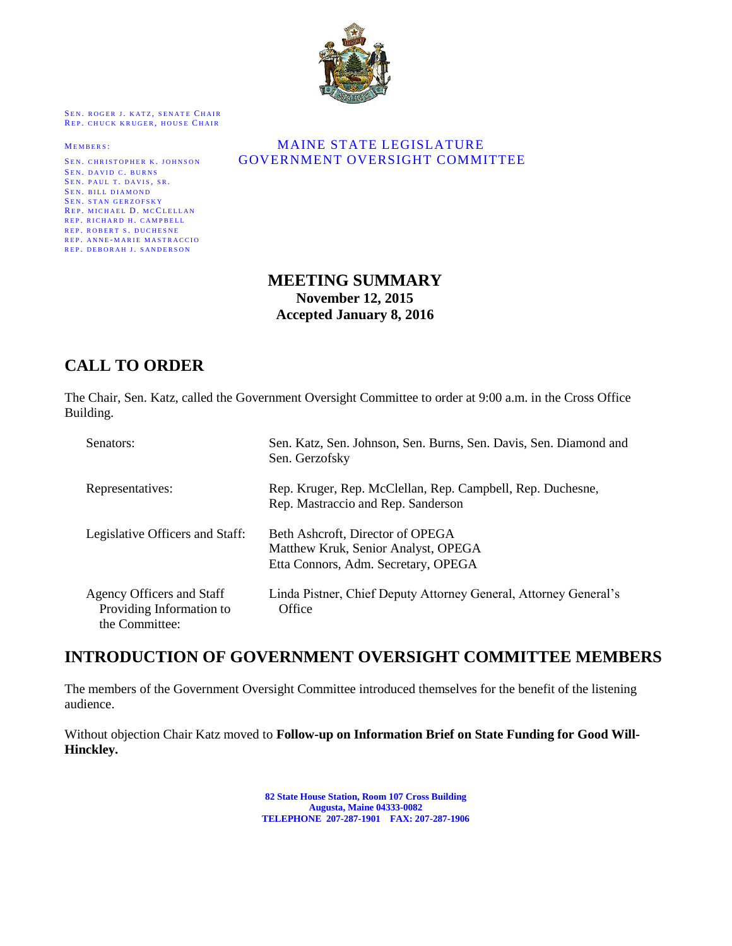

SEN. ROGER J. KATZ, SENATE CHAIR REP. CHUCK KRUGER, HOUSE CHAIR

SEN. DAVID C. BURNS SEN. PAUL T. DAVIS, SR. SEN. BILL DIAMOND SEN. STAN GERZOFSKY REP. MICHAEL D. MCCLELLAN REP. RICHARD H. CAMPBELL REP. ROBERT S. DUCHESNE REP. ANNE-MARIE MASTRACCIO REP. DEBORAH J. SANDERSON

#### MEMBERS: MAINE STATE LEGISLATURE SEN. CHRISTOPHER K. JOHNSON **GOVERNMENT OVERSIGHT COMMITTEE**

### **MEETING SUMMARY November 12, 2015 Accepted January 8, 2016**

# **CALL TO ORDER**

The Chair, Sen. Katz, called the Government Oversight Committee to order at 9:00 a.m. in the Cross Office Building.

| Senators:                                                               | Sen. Katz, Sen. Johnson, Sen. Burns, Sen. Davis, Sen. Diamond and<br>Sen. Gerzofsky                            |
|-------------------------------------------------------------------------|----------------------------------------------------------------------------------------------------------------|
| Representatives:                                                        | Rep. Kruger, Rep. McClellan, Rep. Campbell, Rep. Duchesne,<br>Rep. Mastraccio and Rep. Sanderson               |
| Legislative Officers and Staff:                                         | Beth Ashcroft, Director of OPEGA<br>Matthew Kruk, Senior Analyst, OPEGA<br>Etta Connors, Adm. Secretary, OPEGA |
| Agency Officers and Staff<br>Providing Information to<br>the Committee: | Linda Pistner, Chief Deputy Attorney General, Attorney General's<br>Office                                     |

## **INTRODUCTION OF GOVERNMENT OVERSIGHT COMMITTEE MEMBERS**

The members of the Government Oversight Committee introduced themselves for the benefit of the listening audience.

Without objection Chair Katz moved to **Follow-up on Information Brief on State Funding for Good Will-Hinckley.**

> **82 State House Station, Room 107 Cross Building Augusta, Maine 04333-0082 TELEPHONE 207-287-1901 FAX: 207-287-1906**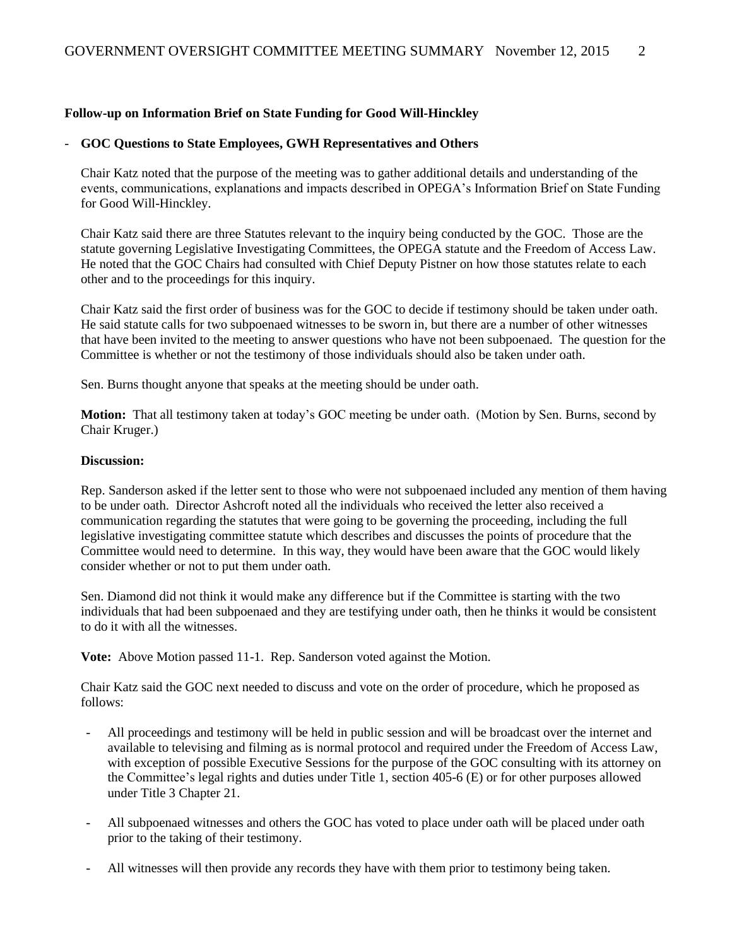#### **Follow-up on Information Brief on State Funding for Good Will-Hinckley**

#### - **GOC Questions to State Employees, GWH Representatives and Others**

Chair Katz noted that the purpose of the meeting was to gather additional details and understanding of the events, communications, explanations and impacts described in OPEGA's Information Brief on State Funding for Good Will-Hinckley.

Chair Katz said there are three Statutes relevant to the inquiry being conducted by the GOC. Those are the statute governing Legislative Investigating Committees, the OPEGA statute and the Freedom of Access Law. He noted that the GOC Chairs had consulted with Chief Deputy Pistner on how those statutes relate to each other and to the proceedings for this inquiry.

Chair Katz said the first order of business was for the GOC to decide if testimony should be taken under oath. He said statute calls for two subpoenaed witnesses to be sworn in, but there are a number of other witnesses that have been invited to the meeting to answer questions who have not been subpoenaed. The question for the Committee is whether or not the testimony of those individuals should also be taken under oath.

Sen. Burns thought anyone that speaks at the meeting should be under oath.

**Motion:** That all testimony taken at today's GOC meeting be under oath. (Motion by Sen. Burns, second by Chair Kruger.)

#### **Discussion:**

Rep. Sanderson asked if the letter sent to those who were not subpoenaed included any mention of them having to be under oath. Director Ashcroft noted all the individuals who received the letter also received a communication regarding the statutes that were going to be governing the proceeding, including the full legislative investigating committee statute which describes and discusses the points of procedure that the Committee would need to determine. In this way, they would have been aware that the GOC would likely consider whether or not to put them under oath.

Sen. Diamond did not think it would make any difference but if the Committee is starting with the two individuals that had been subpoenaed and they are testifying under oath, then he thinks it would be consistent to do it with all the witnesses.

**Vote:** Above Motion passed 11-1. Rep. Sanderson voted against the Motion.

Chair Katz said the GOC next needed to discuss and vote on the order of procedure, which he proposed as follows:

- All proceedings and testimony will be held in public session and will be broadcast over the internet and available to televising and filming as is normal protocol and required under the Freedom of Access Law, with exception of possible Executive Sessions for the purpose of the GOC consulting with its attorney on the Committee's legal rights and duties under Title 1, section 405-6 (E) or for other purposes allowed under Title 3 Chapter 21.
- All subpoenaed witnesses and others the GOC has voted to place under oath will be placed under oath prior to the taking of their testimony.
- All witnesses will then provide any records they have with them prior to testimony being taken.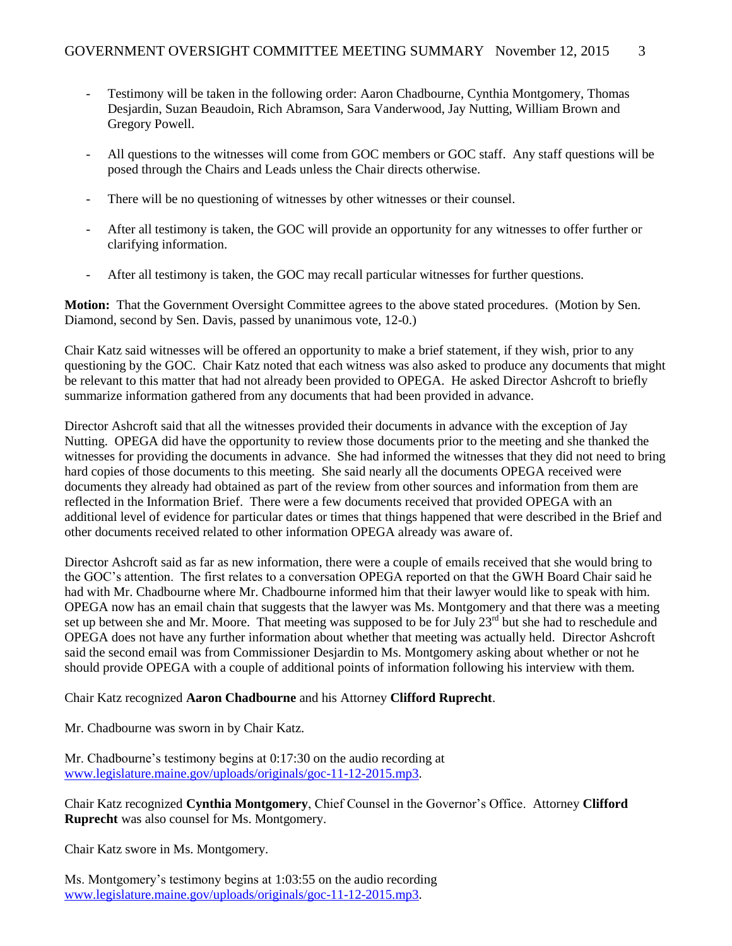- Testimony will be taken in the following order: Aaron Chadbourne, Cynthia Montgomery, Thomas Desjardin, Suzan Beaudoin, Rich Abramson, Sara Vanderwood, Jay Nutting, William Brown and Gregory Powell.
- All questions to the witnesses will come from GOC members or GOC staff. Any staff questions will be posed through the Chairs and Leads unless the Chair directs otherwise.
- There will be no questioning of witnesses by other witnesses or their counsel.
- After all testimony is taken, the GOC will provide an opportunity for any witnesses to offer further or clarifying information.
- After all testimony is taken, the GOC may recall particular witnesses for further questions.

**Motion:** That the Government Oversight Committee agrees to the above stated procedures. (Motion by Sen. Diamond, second by Sen. Davis, passed by unanimous vote, 12-0.)

Chair Katz said witnesses will be offered an opportunity to make a brief statement, if they wish, prior to any questioning by the GOC. Chair Katz noted that each witness was also asked to produce any documents that might be relevant to this matter that had not already been provided to OPEGA. He asked Director Ashcroft to briefly summarize information gathered from any documents that had been provided in advance.

Director Ashcroft said that all the witnesses provided their documents in advance with the exception of Jay Nutting. OPEGA did have the opportunity to review those documents prior to the meeting and she thanked the witnesses for providing the documents in advance. She had informed the witnesses that they did not need to bring hard copies of those documents to this meeting. She said nearly all the documents OPEGA received were documents they already had obtained as part of the review from other sources and information from them are reflected in the Information Brief. There were a few documents received that provided OPEGA with an additional level of evidence for particular dates or times that things happened that were described in the Brief and other documents received related to other information OPEGA already was aware of.

Director Ashcroft said as far as new information, there were a couple of emails received that she would bring to the GOC's attention. The first relates to a conversation OPEGA reported on that the GWH Board Chair said he had with Mr. Chadbourne where Mr. Chadbourne informed him that their lawyer would like to speak with him. OPEGA now has an email chain that suggests that the lawyer was Ms. Montgomery and that there was a meeting set up between she and Mr. Moore. That meeting was supposed to be for July 23<sup>rd</sup> but she had to reschedule and OPEGA does not have any further information about whether that meeting was actually held. Director Ashcroft said the second email was from Commissioner Desjardin to Ms. Montgomery asking about whether or not he should provide OPEGA with a couple of additional points of information following his interview with them.

Chair Katz recognized **Aaron Chadbourne** and his Attorney **Clifford Ruprecht**.

Mr. Chadbourne was sworn in by Chair Katz.

Mr. Chadbourne's testimony begins at 0:17:30 on the audio recording at [www.legislature.maine.gov/uploads/originals/goc-11-12-2015.mp3.](http://www.legislature.maine.gov/uploads/originals/goc-11-12-2015.mp3)

Chair Katz recognized **Cynthia Montgomery**, Chief Counsel in the Governor's Office. Attorney **Clifford Ruprecht** was also counsel for Ms. Montgomery.

Chair Katz swore in Ms. Montgomery.

Ms. Montgomery's testimony begins at 1:03:55 on the audio recording [www.legislature.maine.gov/uploads/originals/goc-11-12-2015.mp3.](http://www.legislature.maine.gov/uploads/originals/goc-11-12-2015.mp3)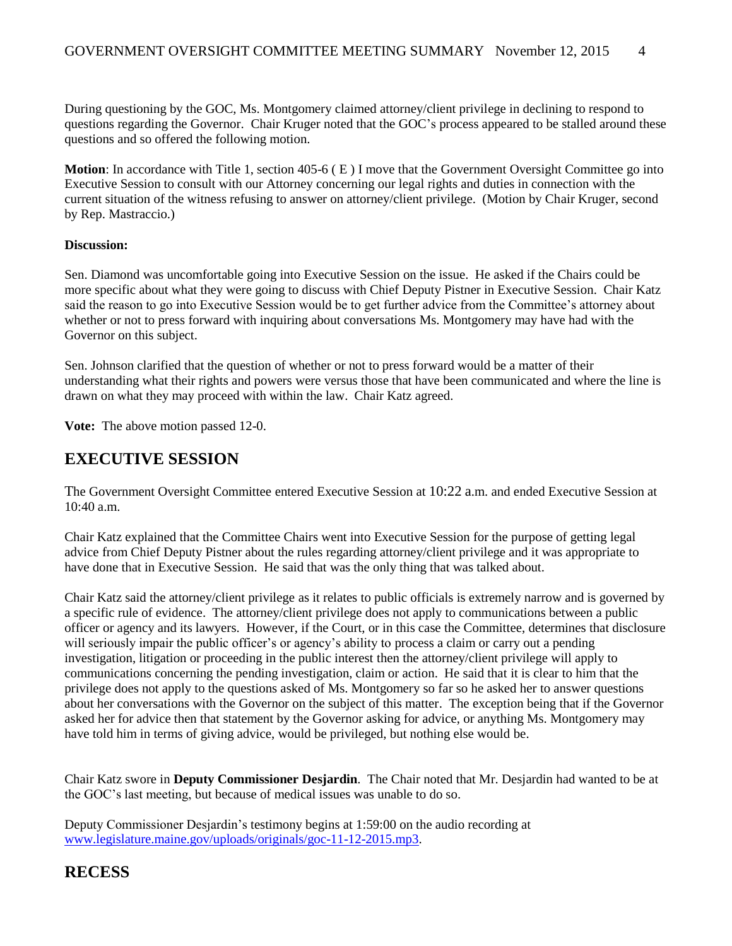During questioning by the GOC, Ms. Montgomery claimed attorney/client privilege in declining to respond to questions regarding the Governor. Chair Kruger noted that the GOC's process appeared to be stalled around these questions and so offered the following motion.

**Motion**: In accordance with Title 1, section 405-6 ( E ) I move that the Government Oversight Committee go into Executive Session to consult with our Attorney concerning our legal rights and duties in connection with the current situation of the witness refusing to answer on attorney/client privilege. (Motion by Chair Kruger, second by Rep. Mastraccio.)

#### **Discussion:**

Sen. Diamond was uncomfortable going into Executive Session on the issue. He asked if the Chairs could be more specific about what they were going to discuss with Chief Deputy Pistner in Executive Session. Chair Katz said the reason to go into Executive Session would be to get further advice from the Committee's attorney about whether or not to press forward with inquiring about conversations Ms. Montgomery may have had with the Governor on this subject.

Sen. Johnson clarified that the question of whether or not to press forward would be a matter of their understanding what their rights and powers were versus those that have been communicated and where the line is drawn on what they may proceed with within the law. Chair Katz agreed.

**Vote:** The above motion passed 12-0.

## **EXECUTIVE SESSION**

The Government Oversight Committee entered Executive Session at 10:22 a.m. and ended Executive Session at 10:40 a.m.

Chair Katz explained that the Committee Chairs went into Executive Session for the purpose of getting legal advice from Chief Deputy Pistner about the rules regarding attorney/client privilege and it was appropriate to have done that in Executive Session. He said that was the only thing that was talked about.

Chair Katz said the attorney/client privilege as it relates to public officials is extremely narrow and is governed by a specific rule of evidence. The attorney/client privilege does not apply to communications between a public officer or agency and its lawyers. However, if the Court, or in this case the Committee, determines that disclosure will seriously impair the public officer's or agency's ability to process a claim or carry out a pending investigation, litigation or proceeding in the public interest then the attorney/client privilege will apply to communications concerning the pending investigation, claim or action. He said that it is clear to him that the privilege does not apply to the questions asked of Ms. Montgomery so far so he asked her to answer questions about her conversations with the Governor on the subject of this matter. The exception being that if the Governor asked her for advice then that statement by the Governor asking for advice, or anything Ms. Montgomery may have told him in terms of giving advice, would be privileged, but nothing else would be.

Chair Katz swore in **Deputy Commissioner Desjardin**. The Chair noted that Mr. Desjardin had wanted to be at the GOC's last meeting, but because of medical issues was unable to do so.

Deputy Commissioner Desjardin's testimony begins at 1:59:00 on the audio recording at [www.legislature.maine.gov/uploads/originals/goc-11-12-2015.mp3.](http://www.legislature.maine.gov/uploads/originals/goc-11-12-2015.mp3)

## **RECESS**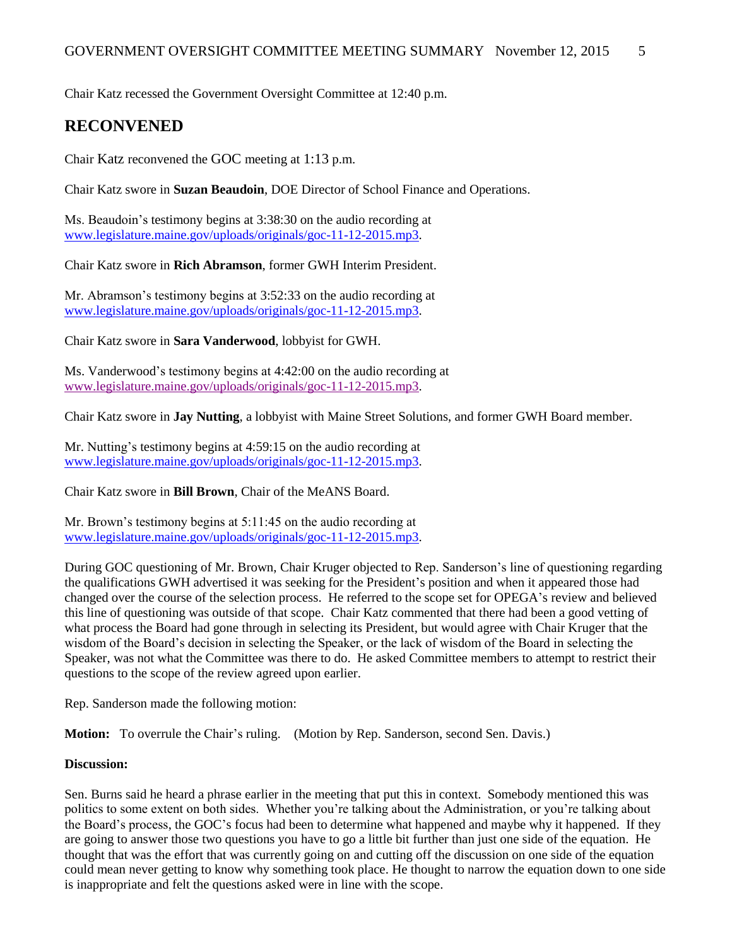Chair Katz recessed the Government Oversight Committee at 12:40 p.m.

### **RECONVENED**

Chair Katz reconvened the GOC meeting at 1:13 p.m.

Chair Katz swore in **Suzan Beaudoin**, DOE Director of School Finance and Operations.

Ms. Beaudoin's testimony begins at 3:38:30 on the audio recording at [www.legislature.maine.gov/uploads/originals/goc-11-12-2015.mp3.](http://www.legislature.maine.gov/uploads/originals/goc-11-12-2015.mp3)

Chair Katz swore in **Rich Abramson**, former GWH Interim President.

Mr. Abramson's testimony begins at 3:52:33 on the audio recording at [www.legislature.maine.gov/uploads/originals/goc-11-12-2015.mp3.](http://www.legislature.maine.gov/uploads/originals/goc-11-12-2015.mp3)

Chair Katz swore in **Sara Vanderwood**, lobbyist for GWH.

Ms. Vanderwood's testimony begins at 4:42:00 on the audio recording at [www.legislature.maine.gov/uploads/originals/goc-11-12-2015.mp3.](http://www.legislature.maine.gov/uploads/originals/goc-11-12-2015.mp3)

Chair Katz swore in **Jay Nutting**, a lobbyist with Maine Street Solutions, and former GWH Board member.

Mr. Nutting's testimony begins at 4:59:15 on the audio recording at [www.legislature.maine.gov/uploads/originals/goc-11-12-2015.mp3.](http://www.legislature.maine.gov/uploads/originals/goc-11-12-2015.mp3)

Chair Katz swore in **Bill Brown**, Chair of the MeANS Board.

Mr. Brown's testimony begins at 5:11:45 on the audio recording at [www.legislature.maine.gov/uploads/originals/goc-11-12-2015.mp3.](http://www.legislature.maine.gov/uploads/originals/goc-11-12-2015.mp3)

During GOC questioning of Mr. Brown, Chair Kruger objected to Rep. Sanderson's line of questioning regarding the qualifications GWH advertised it was seeking for the President's position and when it appeared those had changed over the course of the selection process. He referred to the scope set for OPEGA's review and believed this line of questioning was outside of that scope. Chair Katz commented that there had been a good vetting of what process the Board had gone through in selecting its President, but would agree with Chair Kruger that the wisdom of the Board's decision in selecting the Speaker, or the lack of wisdom of the Board in selecting the Speaker, was not what the Committee was there to do. He asked Committee members to attempt to restrict their questions to the scope of the review agreed upon earlier.

Rep. Sanderson made the following motion:

**Motion:** To overrule the Chair's ruling. (Motion by Rep. Sanderson, second Sen. Davis.)

#### **Discussion:**

Sen. Burns said he heard a phrase earlier in the meeting that put this in context. Somebody mentioned this was politics to some extent on both sides. Whether you're talking about the Administration, or you're talking about the Board's process, the GOC's focus had been to determine what happened and maybe why it happened. If they are going to answer those two questions you have to go a little bit further than just one side of the equation. He thought that was the effort that was currently going on and cutting off the discussion on one side of the equation could mean never getting to know why something took place. He thought to narrow the equation down to one side is inappropriate and felt the questions asked were in line with the scope.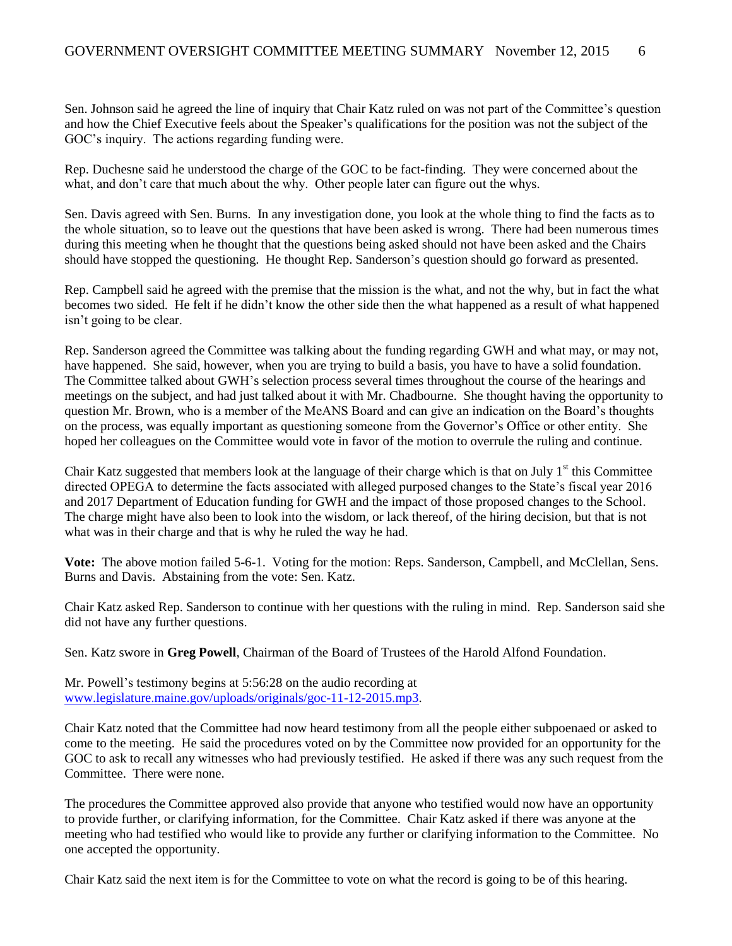Sen. Johnson said he agreed the line of inquiry that Chair Katz ruled on was not part of the Committee's question and how the Chief Executive feels about the Speaker's qualifications for the position was not the subject of the GOC's inquiry. The actions regarding funding were.

Rep. Duchesne said he understood the charge of the GOC to be fact-finding. They were concerned about the what, and don't care that much about the why. Other people later can figure out the whys.

Sen. Davis agreed with Sen. Burns. In any investigation done, you look at the whole thing to find the facts as to the whole situation, so to leave out the questions that have been asked is wrong. There had been numerous times during this meeting when he thought that the questions being asked should not have been asked and the Chairs should have stopped the questioning. He thought Rep. Sanderson's question should go forward as presented.

Rep. Campbell said he agreed with the premise that the mission is the what, and not the why, but in fact the what becomes two sided. He felt if he didn't know the other side then the what happened as a result of what happened isn't going to be clear.

Rep. Sanderson agreed the Committee was talking about the funding regarding GWH and what may, or may not, have happened. She said, however, when you are trying to build a basis, you have to have a solid foundation. The Committee talked about GWH's selection process several times throughout the course of the hearings and meetings on the subject, and had just talked about it with Mr. Chadbourne. She thought having the opportunity to question Mr. Brown, who is a member of the MeANS Board and can give an indication on the Board's thoughts on the process, was equally important as questioning someone from the Governor's Office or other entity. She hoped her colleagues on the Committee would vote in favor of the motion to overrule the ruling and continue.

Chair Katz suggested that members look at the language of their charge which is that on July  $1<sup>st</sup>$  this Committee directed OPEGA to determine the facts associated with alleged purposed changes to the State's fiscal year 2016 and 2017 Department of Education funding for GWH and the impact of those proposed changes to the School. The charge might have also been to look into the wisdom, or lack thereof, of the hiring decision, but that is not what was in their charge and that is why he ruled the way he had.

**Vote:** The above motion failed 5-6-1. Voting for the motion: Reps. Sanderson, Campbell, and McClellan, Sens. Burns and Davis. Abstaining from the vote: Sen. Katz.

Chair Katz asked Rep. Sanderson to continue with her questions with the ruling in mind. Rep. Sanderson said she did not have any further questions.

Sen. Katz swore in **Greg Powell**, Chairman of the Board of Trustees of the Harold Alfond Foundation.

Mr. Powell's testimony begins at 5:56:28 on the audio recording at [www.legislature.maine.gov/uploads/originals/goc-11-12-2015.mp3.](http://www.legislature.maine.gov/uploads/originals/goc-11-12-2015.mp3)

Chair Katz noted that the Committee had now heard testimony from all the people either subpoenaed or asked to come to the meeting. He said the procedures voted on by the Committee now provided for an opportunity for the GOC to ask to recall any witnesses who had previously testified. He asked if there was any such request from the Committee. There were none.

The procedures the Committee approved also provide that anyone who testified would now have an opportunity to provide further, or clarifying information, for the Committee. Chair Katz asked if there was anyone at the meeting who had testified who would like to provide any further or clarifying information to the Committee. No one accepted the opportunity.

Chair Katz said the next item is for the Committee to vote on what the record is going to be of this hearing.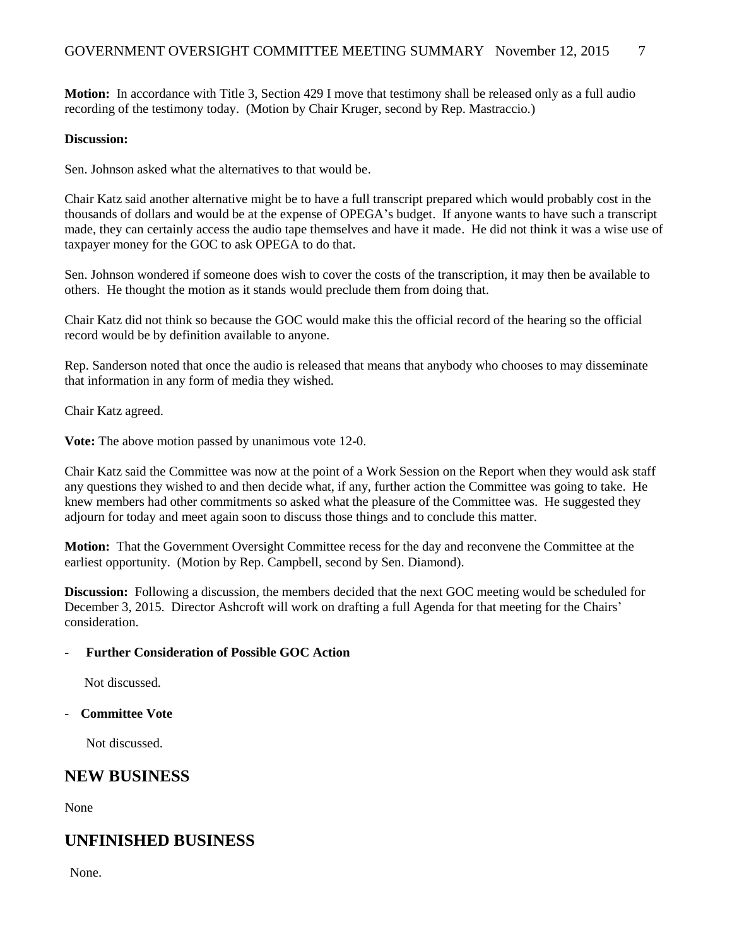**Motion:** In accordance with Title 3, Section 429 I move that testimony shall be released only as a full audio recording of the testimony today. (Motion by Chair Kruger, second by Rep. Mastraccio.)

#### **Discussion:**

Sen. Johnson asked what the alternatives to that would be.

Chair Katz said another alternative might be to have a full transcript prepared which would probably cost in the thousands of dollars and would be at the expense of OPEGA's budget. If anyone wants to have such a transcript made, they can certainly access the audio tape themselves and have it made. He did not think it was a wise use of taxpayer money for the GOC to ask OPEGA to do that.

Sen. Johnson wondered if someone does wish to cover the costs of the transcription, it may then be available to others. He thought the motion as it stands would preclude them from doing that.

Chair Katz did not think so because the GOC would make this the official record of the hearing so the official record would be by definition available to anyone.

Rep. Sanderson noted that once the audio is released that means that anybody who chooses to may disseminate that information in any form of media they wished.

Chair Katz agreed.

**Vote:** The above motion passed by unanimous vote 12-0.

Chair Katz said the Committee was now at the point of a Work Session on the Report when they would ask staff any questions they wished to and then decide what, if any, further action the Committee was going to take. He knew members had other commitments so asked what the pleasure of the Committee was. He suggested they adjourn for today and meet again soon to discuss those things and to conclude this matter.

**Motion:** That the Government Oversight Committee recess for the day and reconvene the Committee at the earliest opportunity. (Motion by Rep. Campbell, second by Sen. Diamond).

**Discussion:** Following a discussion, the members decided that the next GOC meeting would be scheduled for December 3, 2015. Director Ashcroft will work on drafting a full Agenda for that meeting for the Chairs' consideration.

#### - **Further Consideration of Possible GOC Action**

Not discussed.

#### - **Committee Vote**

Not discussed.

### **NEW BUSINESS**

None

### **UNFINISHED BUSINESS**

None.